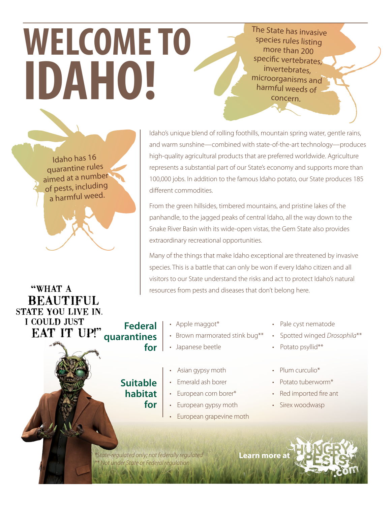## The State has invasive species rules listing more than 200 specific vertebrates, invertebrates, microorganisms and harmful weeds of concern.

Idaho has 16 quarantine rules aimed at a number of pests, including a harmful weed.

**WELCOME TO**

**IDAHO!**

Idaho's unique blend of rolling foothills, mountain spring water, gentle rains, and warm sunshine—combined with state-of-the-art technology—produces high-quality agricultural products that are preferred worldwide. Agriculture represents a substantial part of our State's economy and supports more than 100,000 jobs. In addition to the famous Idaho potato, our State produces 185 different commodities.

From the green hillsides, timbered mountains, and pristine lakes of the panhandle, to the jagged peaks of central Idaho, all the way down to the Snake River Basin with its wide-open vistas, the Gem State also provides extraordinary recreational opportunities.

Many of the things that make Idaho exceptional are threatened by invasive species. This is a battle that can only be won if every Idaho citizen and all visitors to our State understand the risks and act to protect Idaho's natural resources from pests and diseases that don't belong here.

- "WHAT A **BEAUTIFUL** STATE YOU LIVE IN. **I COULD JUST Federal quarantines**
- Apple maggot\*
- Brown marmorated stink bug\*\*
- Japanese beetle **for**
- Pale cyst nematode
- Spotted winged *Drosophila*\*\*
- Potato psyllid\*\*
- Asian gypsy moth
- Emerald ash borer
- European corn borer\*
- European gypsy moth
	- European grapevine moth
- Plum curculio\*
- Potato tuberworm\*
- Red imported fire ant
- Sirex woodwasp

*\*State-regulated only; not federally regulated* **Learn mor[e at](http://www.hungrypests.com)** *\*\* Not under State or Federal regulation*

**for**

**Suitable habitat**